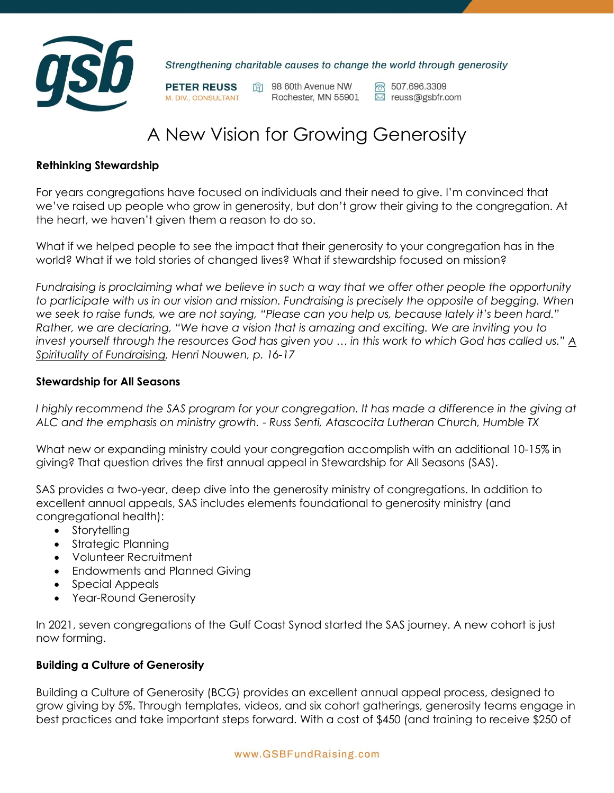

Strengthening charitable causes to change the world through generosity

**PETER REUSS** M. DIV., CONSULTANT

1 98 60th Avenue NW Rochester, MN 55901  $\boxtimes$  reuss@gsbfr.com

ක 507.696.3309

# A New Vision for Growing Generosity

## **Rethinking Stewardship**

For years congregations have focused on individuals and their need to give. I'm convinced that we've raised up people who grow in generosity, but don't grow their giving to the congregation. At the heart, we haven't given them a reason to do so.

What if we helped people to see the impact that their generosity to your congregation has in the world? What if we told stories of changed lives? What if stewardship focused on mission?

*Fundraising is proclaiming what we believe in such a way that we offer other people the opportunity to participate with us in our vision and mission. Fundraising is precisely the opposite of begging. When we seek to raise funds, we are not saying, "Please can you help us, because lately it's been hard." Rather, we are declaring, "We have a vision that is amazing and exciting. We are inviting you to invest yourself through the resources God has given you … in this work to which God has called us." A Spirituality of Fundraising, Henri Nouwen, p. 16-17*

#### **Stewardship for All Seasons**

*I highly recommend the SAS program for your congregation. It has made a difference in the giving at ALC and the emphasis on ministry growth.* - *Russ Senti, Atascocita Lutheran Church, Humble TX*

What new or expanding ministry could your congregation accomplish with an additional 10-15% in giving? That question drives the first annual appeal in Stewardship for All Seasons (SAS).

SAS provides a two-year, deep dive into the generosity ministry of congregations. In addition to excellent annual appeals, SAS includes elements foundational to generosity ministry (and congregational health):

- Storytelling
- Strategic Planning
- Volunteer Recruitment
- Endowments and Planned Giving
- Special Appeals
- Year-Round Generosity

In 2021, seven congregations of the Gulf Coast Synod started the SAS journey. A new cohort is just now forming.

# **Building a Culture of Generosity**

Building a Culture of Generosity (BCG) provides an excellent annual appeal process, designed to grow giving by 5%. Through templates, videos, and six cohort gatherings, generosity teams engage in best practices and take important steps forward. With a cost of \$450 (and training to receive \$250 of